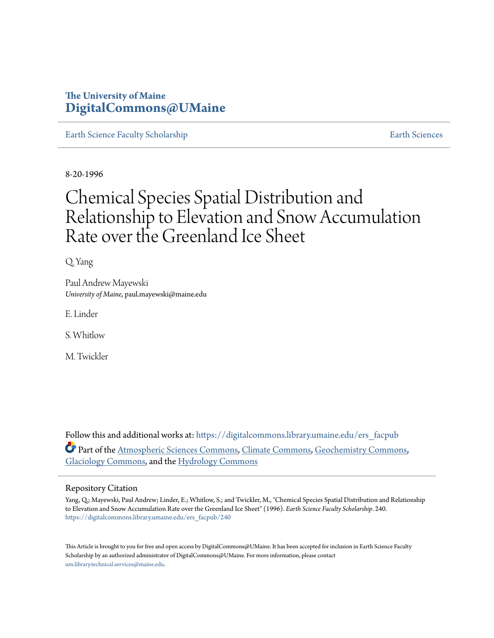# **The University of Maine [DigitalCommons@UMaine](https://digitalcommons.library.umaine.edu?utm_source=digitalcommons.library.umaine.edu%2Fers_facpub%2F240&utm_medium=PDF&utm_campaign=PDFCoverPages)**

[Earth Science Faculty Scholarship](https://digitalcommons.library.umaine.edu/ers_facpub?utm_source=digitalcommons.library.umaine.edu%2Fers_facpub%2F240&utm_medium=PDF&utm_campaign=PDFCoverPages) **[Earth Sciences](https://digitalcommons.library.umaine.edu/ers?utm_source=digitalcommons.library.umaine.edu%2Fers_facpub%2F240&utm_medium=PDF&utm_campaign=PDFCoverPages)** 

8-20-1996

# Chemical Species Spatial Distribution and Relationship to Elevation and Snow Accumulation Rate over the Greenland Ice Sheet

Q. Yang

Paul Andrew Mayewski *University of Maine*, paul.mayewski@maine.edu

E. Linder

S. Whitlow

M. Twickler

Follow this and additional works at: [https://digitalcommons.library.umaine.edu/ers\\_facpub](https://digitalcommons.library.umaine.edu/ers_facpub?utm_source=digitalcommons.library.umaine.edu%2Fers_facpub%2F240&utm_medium=PDF&utm_campaign=PDFCoverPages) Part of the [Atmospheric Sciences Commons,](http://network.bepress.com/hgg/discipline/187?utm_source=digitalcommons.library.umaine.edu%2Fers_facpub%2F240&utm_medium=PDF&utm_campaign=PDFCoverPages) [Climate Commons,](http://network.bepress.com/hgg/discipline/188?utm_source=digitalcommons.library.umaine.edu%2Fers_facpub%2F240&utm_medium=PDF&utm_campaign=PDFCoverPages) [Geochemistry Commons,](http://network.bepress.com/hgg/discipline/157?utm_source=digitalcommons.library.umaine.edu%2Fers_facpub%2F240&utm_medium=PDF&utm_campaign=PDFCoverPages) [Glaciology Commons](http://network.bepress.com/hgg/discipline/159?utm_source=digitalcommons.library.umaine.edu%2Fers_facpub%2F240&utm_medium=PDF&utm_campaign=PDFCoverPages), and the [Hydrology Commons](http://network.bepress.com/hgg/discipline/1054?utm_source=digitalcommons.library.umaine.edu%2Fers_facpub%2F240&utm_medium=PDF&utm_campaign=PDFCoverPages)

#### Repository Citation

Yang, Q.; Mayewski, Paul Andrew; Linder, E.; Whitlow, S.; and Twickler, M., "Chemical Species Spatial Distribution and Relationship to Elevation and Snow Accumulation Rate over the Greenland Ice Sheet" (1996). *Earth Science Faculty Scholarship*. 240. [https://digitalcommons.library.umaine.edu/ers\\_facpub/240](https://digitalcommons.library.umaine.edu/ers_facpub/240?utm_source=digitalcommons.library.umaine.edu%2Fers_facpub%2F240&utm_medium=PDF&utm_campaign=PDFCoverPages)

This Article is brought to you for free and open access by DigitalCommons@UMaine. It has been accepted for inclusion in Earth Science Faculty Scholarship by an authorized administrator of DigitalCommons@UMaine. For more information, please contact [um.library.technical.services@maine.edu](mailto:um.library.technical.services@maine.edu).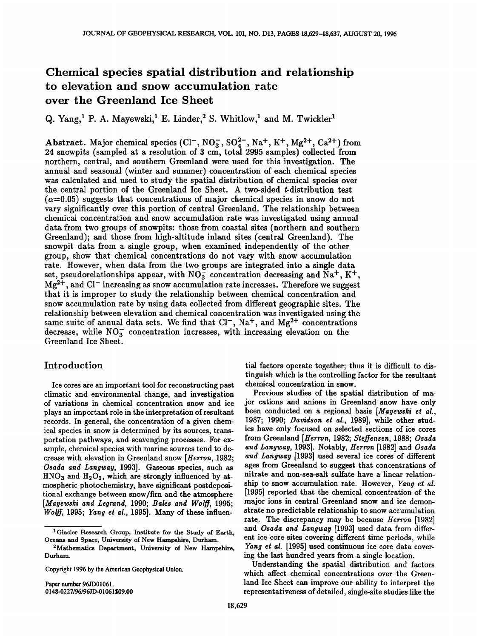# **Chemical species spatial distribution and relationship to elevation and snow accumulation rate over the Greenland Ice Sheet**

Q. Yang,<sup>1</sup> P. A. Mayewski,<sup>1</sup> E. Linder,<sup>2</sup> S. Whitlow,<sup>1</sup> and M. Twickler<sup>1</sup>

**Abstract.** Major chemical species  $(Cl^-, NO_3^-, SO_4^{2-}, Na^+, K^+, Mg^{2+}, Ca^{2+})$  from **24 snowpits (sampled at a resolution of 3 cm, total 2995 samples) collected from northern, central, and southern Greenland were used for this investigation. The annual and seasonal (winter and summer) concentration of each chemical species was calculated and used to study the spatial distribution of chemical species over the central portion of the Greenland Ice Sheet. A two-sided t-distribution test**   $(\alpha=0.05)$  suggests that concentrations of major chemical species in snow do not **vary significantly over this portion of central Greenland. The relationship between chemical concentration and snow accumulation rate was investigated using annual data from two groups of snowpits: those from coastal sites (northern and southern Greenland); and those from high-altitude inland sites (central Greenland). The**  snowpit data from a single group, when examined independently of the other **group, show that chemical concentrations do not vary with snow accumulation rate. However, when data from the two groups are integrated into a single data**  set, pseudorelationships appear, with  $NO_3^-$  concentration decreasing and  $Na^+$ ,  $K^+$ , Mg<sup>2+</sup>, and Cl<sup>-</sup> increasing as snow accumulation rate increases. Therefore we suggest **that it is improper to study the relationship between chemical concentration and snow accumulation rate by using data collected from different geographic sites. The relationship between elevation and chemical concentration was investigated using the**  same suite of annual data sets. We find that  $Cl^-$ ,  $Na^+$ , and  $Mg^{2+}$  concentrations decrease, while NO<sub>3</sub> concentration increases, with increasing elevation on the **Greenland Ice Sheet.** 

## **Introduction**

**Ice cores are an important tool for reconstructing past climatic and environmental change, and investigation of variations in chemical concentration snow and ice plays an important role in the interpretation of resultant records. In general, the concentration of a given chemical species in snow is determined by its sources, transportation pathways, and scavenging processes. For example, chemical species with marine sources tend to decrease with elevation in Greenland snow [Herron, 1982; Osada and Langway, 1993]. Gaseous species, such as**  HNO<sub>3</sub> and H<sub>2</sub>O<sub>2</sub>, which are strongly influenced by at**mospheric photochemistry, have significant postdepositional exchange between snow/firn and the atmosphere [Mayewski and Legrand, 1990; Bales and Wolff, 1995; Wolff, 1995; Yang et al., 1995]. Many of these infiuen-**

**Paper number 96JD01061. 0148-0227/96/96JD-01061 \$09.00** 

**tial factors operate together; thus it is difficult to distinguish which is the controlling factor for the resultant chemical concentration in snow.** 

**Previous studies of the spatial distribution of major cations and anions in Greenland snow have only been conducted on a regional basis [Mayewski et al., 1987; 1990; Davidson et al., 1989], while other studies have only focused on selected sections of ice cores from Greenland [Herton, 1982; \$teffensen, 1988; Osada and Langway, 1993]. Notably, Herron [1982] and Osada and Langway [1993] used several ice cores of different ages from Greenland to suggest that concentrations of nitrate and non-sea-salt sulfate have a linear relationship to snow accumulation rate. However, Yang et al. [1995] reported that the chemical concentration of the major ions in central Greenland snow and ice demonstrate no predictable relationship to snow accumulation rate. The discrepancy may be because Herron [1982] and Osada and Langway [1993] used data from different ice core sites covering different time periods, while Yang et al. [1995] used continuous ice core data covering the last hundred years from a single location.** 

**Understanding the spatial distribution and factors which affect chemical concentrations over the Greenland Ice Sheet can improve our ability to interpret the**  representativeness of detailed, single-site studies like the

**<sup>1</sup> Glacier Research Group, Institute for the Study of Earth, Oceans and Space, University of New Hampshire, Durham.** 

**<sup>2</sup>Mathematics Department, University of New Hampshire, Durham.** 

**Copyright 1996 by the American Geophysical Union.**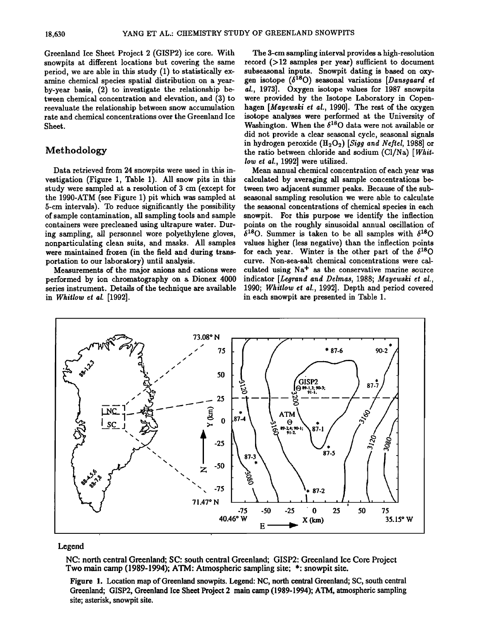**Greenland Ice Sheet Project 2 (GISP2) ice core. With snowpits at different locations but covering the same period, we are able in this study (1) to statistically examine chemical species spatial distribution on a yearby-year basis, (2) to investigate the relationship between chemical concentration and elevation, and (3) to reevaluate the relationship between snow accumulation rate and chemical concentrations over the Greenland Ice Sheet.** 

## **Methodology**

**Data retrieved from 24 snowpits were used in this investigation (Figure 1, Table 1). All snow pits in this study were sampled at a resolution of 3 cm (except for the 1990-ATM (see Figure 1) pit which was sampled at 5-cm intervals). To reduce significantly the possibility of sample contamination, all sampling tools and sample containers were precleaned using ultrapure water. During sampling, all personnel wore polyethylene gloves, nonparticulating clean suits, and masks. All samples were maintained frozen (in the field and during transportation to our laboratory) until analysis.** 

**Measurements of the major anions and cations were performed by ion chromatography on a Dionex 4000 series instrument. Details of the technique are available in Whirlow et el. [1992].** 

**The 3-cm sampling interval provides a high-resolution**  record  $($ 12 samples per year) sufficient to document **subseasonal inputs. Snowpit dating is based on oxy**gen isotope  $(\delta^{18}O)$  seasonal variations [Dansgaard et **el., 1973]. Oxygen isotope values for 1987 snowpits were provided by the Isotope Laboratory in Copenhagen [Meyewski et el., 1990]. The rest of the oxygen isotope analyses were performed at the University of**  Washington. When the  $\delta^{18}$ O data were not available or **did not provide a clear seasonal cycle, seasonal signals**  in hydrogen peroxide (H<sub>2</sub>O<sub>2</sub>) [Sigg and Neftel, 1988] or **the ratio between chloride and sodium (C1/Na) [Whirlow et el., 1992] were utilized.** 

**Mean annual chemical concentration of each year was calculated by averaging all sample concentrations between two adjacent summer peaks. Because of the subseasonal sampling resolution we were able to calculate the seasonal concentrations of chemical species in each snowpit. For this purpose we identify the inflection points on the roughly sinusoidal annual oscillation of**   $\delta^{18}$ O. Summer is taken to be all samples with  $\delta^{18}$ O **values higher (less negative) than the inflection points**  for each year. Winter is the other part of the  $\delta^{18}O$ **curve. Non-sea-salt chemical concentrations were cal**culated using Na<sup>+</sup> as the conservative marine source **indicator [Legrend and Delmes, 1988; Meyewski et el., 1990; Whirlow et el., 1992]. Depth and period covered in each snowpit are presented in Table 1.** 



#### **Legend**

**NC: north central Greenland; SC: south central Greenland; GISP2: Greenland Ice Core Project Two main camp (1989-1994); ATM' Atmospheric sampling site; \*: snowpit site.** 

**Figure 1. Location map of Greenland snowpits. Legend: NC, north central Greenland; SC, south central Greenland; GISP2, Greenland Ice Sheet Project 2 main camp (1989-1994); ATM, atmospheric sampling site; asterisk, snowpit site.**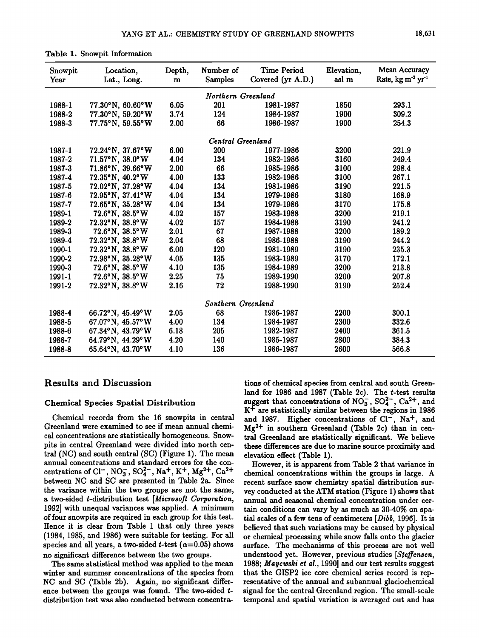| Snowpit<br>Year    | Location,<br>Lat., Long.            |      | Number of<br><b>Samples</b> | <b>Time Period</b><br>Covered (yr A.D.) | Elevation,<br>asl m | Mean Accuracy<br>Rate, kg m <sup>-2</sup> yr <sup>-1</sup> |  |  |  |
|--------------------|-------------------------------------|------|-----------------------------|-----------------------------------------|---------------------|------------------------------------------------------------|--|--|--|
|                    |                                     |      | Northern Greenland          |                                         |                     |                                                            |  |  |  |
| 1988-1             | 77.30°N, 60.60°W                    | 6.05 | 201                         | 1981-1987                               | 1850                | 293.1                                                      |  |  |  |
| 1988-2             | 77.30°N, 59.20°W                    | 3.74 | 124                         | 1984-1987                               | 1900                | 309.2                                                      |  |  |  |
| 1988-3             | 77.75°N, 59.55°W                    | 2.00 | 66                          | 1986-1987                               | 1900                | 254.3                                                      |  |  |  |
|                    |                                     |      |                             |                                         |                     |                                                            |  |  |  |
|                    |                                     |      | Central Greenland           |                                         |                     |                                                            |  |  |  |
| 1987-1             | 72.24°N, 37.67°W                    | 6.00 | <b>200</b>                  | 1977-1986                               | 3200                | 221.9                                                      |  |  |  |
| 1987-2             | 71.57°N, 38.0°W                     | 4.04 | 134                         | 1982-1986                               | 3160                | 249.4                                                      |  |  |  |
| 1987-3             | 71.86°N, 39.66°W                    | 2.00 | 66                          | 1985-1986                               | 3100                | 298.4                                                      |  |  |  |
| 1987-4             | $72.35^{\circ}N$ , $40.2^{\circ}W$  | 4.00 | 133                         | 1982-1986                               | 3100                | 267.1                                                      |  |  |  |
| 1987-5             | 72.02°N, 37.28°W                    | 4.04 | 134                         | 1981-1986                               | 3190                | 221.5                                                      |  |  |  |
| 1987-6             | 72.95°N, 37.41°W                    | 4.04 | 134                         | 1979-1986                               | 3180                | 168.9                                                      |  |  |  |
| 1987-7             | 72.65°N, 35.28°W                    | 4.04 | 134                         | 1979-1986                               | 3170                | 175.8                                                      |  |  |  |
| 1989-1             | $72.6^{\circ}$ N, $38.5^{\circ}$ W  | 4.02 | 157                         | 1983-1988                               | 3200                | 219.1                                                      |  |  |  |
| 1989-2             | 72.32°N, 38.8°W                     | 4.02 | 157                         | 1984-1988                               | 3190                | 241.2                                                      |  |  |  |
| 1989-3             | $72.6^{\circ}$ N, $38.5^{\circ}$ W  | 2.01 | 67                          | 1987-1988                               | 3200                | 189.2                                                      |  |  |  |
| 1989-4             | $72.32^{\circ}$ N, $38.8^{\circ}$ W | 2.04 | 68                          | 1986-1988                               | 3190                | 244.2                                                      |  |  |  |
| 1990-1             | 72.32°N, 38.8°W                     | 6.00 | 120                         | 1981-1989                               | 3190                | 235.3                                                      |  |  |  |
| 1990-2             | 72.98°N, 35.28°W                    | 4.05 | 135                         | 1983-1989                               | 3170                | 172.1                                                      |  |  |  |
| 1990-3             | 72.6°N, 38.5°W                      | 4.10 | 135                         | 1984-1989                               | 3200                | 213.8                                                      |  |  |  |
| 1991-1             | 72.6°N, 38.5°W                      | 2.25 | 75                          | 1989-1990                               | 3200                | 207.8                                                      |  |  |  |
| 1991-2             | 72.32°N, 38.8°W                     | 2.16 | 72                          | 1988-1990                               | 3190                | 252.4                                                      |  |  |  |
| Southern Greenland |                                     |      |                             |                                         |                     |                                                            |  |  |  |
| 1988-4             | 66.72°N, 45.49°W                    | 2.05 | 68                          | 1986-1987                               | 2200                | 300.1                                                      |  |  |  |
| 1988-5             | 67.07°N, 45.57°W                    | 4.00 | 134                         | 1984-1987                               | 2300                | 332.6                                                      |  |  |  |
| 1988-6             | 67.34°N, 43.79°W                    | 6.18 | 205                         | 1982-1987                               | 2400                | 361.5                                                      |  |  |  |
| 1988-7             | 64.79°N, 44.29°W                    | 4.20 | 140                         | 1985-1987                               | 2800                | 384.3                                                      |  |  |  |
| 1988-8             | 65.64°N, 43.70°W                    | 4.10 | 136                         | 1986-1987                               | 2600                | 566.8                                                      |  |  |  |
|                    |                                     |      |                             |                                         |                     |                                                            |  |  |  |

|  |  | Table 1. Snowpit Information |
|--|--|------------------------------|
|--|--|------------------------------|

#### **Results and Discussion**

#### **Chemical Species Spatial Distribution**

**Chemical records from the 16 snowpits in central Greenland were examined to see if mean annual chemi**cal concentrations are statistically homogeneous. Snow**pits in central Greenland were divided into north central (NC) and south central (SC) (Figure 1). The mean annual concentrations and standard errors for the con**centrations of Cl<sup>-</sup>, NO<sub>3</sub>, SO<sub>4</sub><sup>2</sup>, Na<sup>+</sup>, K<sup>+</sup>, Mg<sup>2+</sup>, Ca<sup>2+</sup> **between NC and SC are presented in Table 2a. Since the variance within the two groups are not the same, a two-sided t-distribution test [Microsoft Corporation, 1992] with unequal variances was applied. A minimum of four snowpits are required in each group for this test. Hence it is clear from Table 1 that only three years (1984, 1985, and 1986) were suitable for testing. For all**  species and all years, a two-sided *t*-test  $(\alpha=0.05)$  shows **no significant difference between the two groups.** 

**The same statistical method was applied to the mean winter and summer concentrations of the species from NC and SC (Table 2b). Again, no significant difference between the groups was found. The two-sided t**distribution test was also conducted between concentra-

**tions of chemical species from central and south Greenland for 1986 and 1987 (Table 2c). The t-test results**  suggest that concentrations of  $NO_3^-$ ,  $SO_4^{2-}$ ,  $Ca^{2+}$ , and **K + are statistically similar between the regions in 1986**  and 1987. Higher concentrations of Cl<sup>-</sup>, Na<sup>+</sup>, and **Mg 2+ in southern Greenland (Table 2c) than in central Greenland are statistically significant. We believe these differences are due to marine source proximity and elevation effect (Table 1).** 

**However, it is apparent from Table 2 that variance in chemical concentrations within the groups is large. A recent surface snow chemistry spatial distribution survey conducted at the ATM station (Figure 1) shows that annual and seasonal chemical concentration under certain conditions can vary by as much as 30-40% on spa**tial scales of a few tens of centimeters [*Dibb*, 1996]. It is **believed that such variations may be caused by physical or chemical processing while snow falls onto the glacier surface. The mechanisms of this process are not well**  understood yet. However, previous studies [Steffensen, **1988; Mayewski et al., 1990] and our test results suggest that the GISP2 ice core chemical series record is representative of the annual and subannual glaciochemical signal for the central Greenland region. The small-scale temporal and spatial variation is averaged out and has**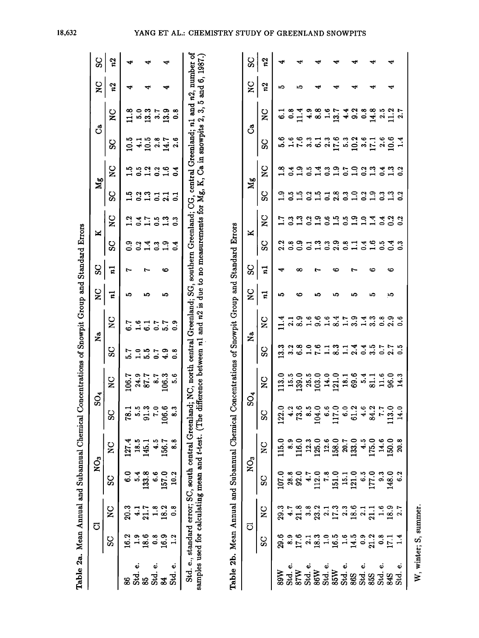|                             |                |                    |            |                 | Table 2a. Mean Annual and Subannual Chemical Concentrations of Snowpit Group and Standard Errors                                                                                                                                                                                                                                                                                                                            |              |               |              |              |     |            |               |                |                       |        |              |                    |     |
|-----------------------------|----------------|--------------------|------------|-----------------|-----------------------------------------------------------------------------------------------------------------------------------------------------------------------------------------------------------------------------------------------------------------------------------------------------------------------------------------------------------------------------------------------------------------------------|--------------|---------------|--------------|--------------|-----|------------|---------------|----------------|-----------------------|--------|--------------|--------------------|-----|
|                             |                | ಠ                  |            | NO <sub>3</sub> | $SO_4$                                                                                                                                                                                                                                                                                                                                                                                                                      |              |               | ž            | $\mathbf{S}$ | ပ္တ | ×          |               | Mg             |                       | ೆ      |              | $\mathbf{S}$       | ပ္တ |
|                             | S              | $\mathbf{z}$       | ပ္တ        | V<br>Z          | ပ္တ                                                                                                                                                                                                                                                                                                                                                                                                                         | $\mathbf{z}$ | SC            | $\mathbf{S}$ | 5            | 11  | SC         | $\mathbf{S}$  | ပ္တ            | $\mathbf{S}$          | တ္တ    | $\mathbf{z}$ | n2                 | n2  |
|                             | 16.2           | 20.3               |            | 127.4           | 78.1                                                                                                                                                                                                                                                                                                                                                                                                                        | 106.7        | 5.7           | 6.7          | ١Q           |     | ွှဲ        |               | ယ္             | <b>ب</b><br>پ         |        |              |                    | ᢦ   |
| $\ddot{\mathbf{v}}$<br>Std. |                |                    | <b>นี้</b> | 18.5            | 5.5                                                                                                                                                                                                                                                                                                                                                                                                                         | 24.9         | $\frac{0}{1}$ | 1.6          |              |     |            | $\ddot{ }$    |                | 0.5                   | :<br>پ | ເວີ          |                    |     |
| $\frac{1}{8}$               | $\frac{6}{18}$ | 21.7               |            | 145.1           | 91.3                                                                                                                                                                                                                                                                                                                                                                                                                        | 87.7         | 5.5           | $\ddot{6}$   | ıО           | r   | $\ddot{ }$ | 1.7           | $\mathbf{r}_1$ | $\mathbf{r}$          | 10.5   | 13.3         |                    |     |
| Std. e.                     | ိ<br>ဓ         | $\frac{8}{1}$      | ်<br>စ     | $\ddot{ }$      | $\overline{7}$ .0                                                                                                                                                                                                                                                                                                                                                                                                           | 8.7          |               | 0.7          |              |     | ះ          | $\ddot{0}$    | る              | 0.2                   | 2.8    | 3.7          |                    |     |
| $\boldsymbol{\mathcal{Z}}$  | 16.9           | 18.2               | 157.0      | 156.7           | 106.6                                                                                                                                                                                                                                                                                                                                                                                                                       | 106.3        | 4.9           | 5.7          | ທ            | ∽   | 0.1        | $\mathbf{1}3$ | $\mathbf{z}$   | 1.6                   | 14.7   | 13.9         |                    |     |
| Std. e.                     |                | ∞<br>0.            | 10.2       | .<br>ဆ          | ္လ                                                                                                                                                                                                                                                                                                                                                                                                                          | ຈ.<br>ຈ      | °.o           | <u>ီ</u>     |              |     | $\ddot{ }$ | $\ddot{0}$    | $\overline{c}$ | $\ddot{0}$ .          | 2.6    | ∞<br>0.      |                    |     |
|                             |                |                    |            |                 | Std. e., standard error; SC, south central Greenland; NC, north central Greenland; SG, southern Greenland; CG, central Greenland; n1 and n2, number of<br>samples used for calculating mean and t-test. (The difference between $n1$ and $n2$ is due to no measurements for Mg, K, Ca in snowpits 2, 3, 5 and 6, 1987.)<br>Table 2b. Mean Annual and Subannual Chemical Concentrations of Snowpit Group and Standard Errors |              |               |              |              |     |            |               |                |                       |        |              |                    |     |
|                             |                |                    |            |                 |                                                                                                                                                                                                                                                                                                                                                                                                                             |              |               |              |              |     |            |               |                |                       |        |              |                    |     |
|                             |                | ರ                  |            | NO <sub>3</sub> | $SO_4$                                                                                                                                                                                                                                                                                                                                                                                                                      |              |               | 2a           | ଠ<br>Z       | ပ္တ | ≍          |               | Мg             |                       |        | ౘ            | $_{\rm z}^{\rm o}$ | ပ္တ |
|                             | င္တ            | $_{\rm z}^{\rm o}$ | ပ္တ        | $\mathbf{z}$    | SS                                                                                                                                                                                                                                                                                                                                                                                                                          | ă            | SS            | $\mathbf{S}$ | $\mathbf{z}$ | 52  | SS         | $\mathbf{S}$  | ပ္တ            | $\mathbf{S}^{\prime}$ | ပ္တ    | ă            | n2                 | n2  |
| 89W                         | 29.6           | 29.3               | 107.0      | 115.0           | 122.0                                                                                                                                                                                                                                                                                                                                                                                                                       | <b>113.0</b> | 13.3          | 11.4         | ເຈ           |     | 2.2        | 1.7           | e.<br>L        | $\frac{8}{11}$        | 5.6    | ್ಪ           | ເດ                 |     |

|              | င္တု ဒ္                 |  |  |                                                                       |  |  |  |  |                                                                                                                                                                                                                                                           |  |
|--------------|-------------------------|--|--|-----------------------------------------------------------------------|--|--|--|--|-----------------------------------------------------------------------------------------------------------------------------------------------------------------------------------------------------------------------------------------------------------|--|
|              | $\frac{1}{2}$           |  |  |                                                                       |  |  |  |  |                                                                                                                                                                                                                                                           |  |
|              |                         |  |  |                                                                       |  |  |  |  |                                                                                                                                                                                                                                                           |  |
|              |                         |  |  |                                                                       |  |  |  |  |                                                                                                                                                                                                                                                           |  |
|              |                         |  |  |                                                                       |  |  |  |  |                                                                                                                                                                                                                                                           |  |
|              |                         |  |  | s<br>1925 1930 1939 2031                                              |  |  |  |  |                                                                                                                                                                                                                                                           |  |
|              |                         |  |  | a a a e e a a a a 4 d a<br>u a a e e a a a 4 d a                      |  |  |  |  |                                                                                                                                                                                                                                                           |  |
|              |                         |  |  | 13. 3. 9. 8. 1. 4. 9. 9. 4. 9.<br>0. 1. 0. 0. 0. 1. 0. 1. 0. 0. 0.    |  |  |  |  |                                                                                                                                                                                                                                                           |  |
|              | $\frac{1}{3}$           |  |  |                                                                       |  |  |  |  |                                                                                                                                                                                                                                                           |  |
| $\mathbf{S}$ | $\overline{n}$          |  |  |                                                                       |  |  |  |  |                                                                                                                                                                                                                                                           |  |
|              |                         |  |  | d 10 0 0 0 0 1 1 0 1 0 10 0 0<br>H d d 1 0 1 0 1 0 1 0 1 0 0 1 0<br>H |  |  |  |  |                                                                                                                                                                                                                                                           |  |
|              |                         |  |  | 32806131445775.302017181200000                                        |  |  |  |  |                                                                                                                                                                                                                                                           |  |
|              | $\frac{C}{C}$           |  |  |                                                                       |  |  |  |  |                                                                                                                                                                                                                                                           |  |
|              |                         |  |  |                                                                       |  |  |  |  |                                                                                                                                                                                                                                                           |  |
|              | $\overline{\mathbf{z}}$ |  |  |                                                                       |  |  |  |  |                                                                                                                                                                                                                                                           |  |
|              | $\frac{NO_3}{SC}$       |  |  |                                                                       |  |  |  |  | 107.0 115.0 122.0<br>28.8 8.9 116.0 73.6<br>92.0 116.0 73.6<br>112.0 125.0 104.0<br>112.0 125.0 104.0<br>15.1 15.1 15.0<br>15.1 20.7 6.0<br>117.0 6.1<br>13.0 113.0<br>177.0 148.0 113.0<br>148.0 113.0<br>148.0 113.0<br>148.0 113.0<br>148.0 113.0<br>1 |  |
|              | $\overline{S}$          |  |  |                                                                       |  |  |  |  |                                                                                                                                                                                                                                                           |  |
|              |                         |  |  |                                                                       |  |  |  |  |                                                                                                                                                                                                                                                           |  |
|              |                         |  |  |                                                                       |  |  |  |  |                                                                                                                                                                                                                                                           |  |

18,632

W, winter; S, summer.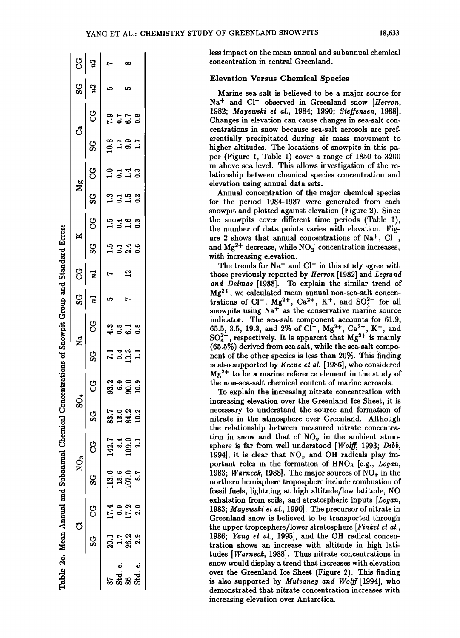|   | $\frac{1}{2}$     |              | r                                                 | ∞                             |  |  |
|---|-------------------|--------------|---------------------------------------------------|-------------------------------|--|--|
|   | $\frac{1}{2}$ ខ្ទ |              | r.                                                |                               |  |  |
|   |                   | <b>CG</b>    |                                                   |                               |  |  |
|   | ්<br>             | SG           | s<br>Sidsi                                        |                               |  |  |
|   |                   | <b>S</b>     |                                                   |                               |  |  |
|   | $M_g$             | SS           |                                                   | $3.152$<br>$-1.52$            |  |  |
|   |                   | ပ္ပ          |                                                   | 15463                         |  |  |
|   | $\mathbf{X}$      | SG           | $1.5 - 4.6$<br>$-1.5 - 6.6$                       |                               |  |  |
|   | င္ပ               | $\mathbf{r}$ | Ņ                                                 | $\mathbf{a}$                  |  |  |
| 1 | $\frac{1}{25}$    | $\mathbf{r}$ | ω                                                 |                               |  |  |
| ı | N <sub>a</sub>    | ပ္ပ          |                                                   | 8<br>4060                     |  |  |
|   |                   | S            |                                                   | $7.491$<br>$7.491$            |  |  |
|   |                   | g            |                                                   |                               |  |  |
|   |                   | SC<br>S      |                                                   | 7.023<br>33.13.13<br>33.14.13 |  |  |
|   |                   | ပ္ပ          |                                                   |                               |  |  |
|   | $NO_3$            | S            | 113.6 142.7<br>15.6 8.4<br>107.0 109.0<br>8.7 9.1 |                               |  |  |
|   |                   | უ<br>ს       |                                                   | $17.9$<br>$15.0$<br>$15.0$    |  |  |
|   |                   | S            |                                                   | 그 r a a<br>Si -i gi ai        |  |  |
|   |                   |              |                                                   | .<br>ಎಸ್ಹುತ್ತ<br>ಎಸ್ಹುವ       |  |  |

**o** 

**o** 

**o** 

**o** 

**less impact on the mean annual and subannual chemical concentration in central Greenland.** 

#### **Elevation Versus Chemical Species**

**Marine sea salt is believed to be a major source for**  Na<sup>+</sup> and Cl<sup>-</sup> observed in Greenland snow [Herron, **1982; Mayewski et al., 1984; 1990; \$teffensen, 1988]. Changes in elevation can cause changes in sea-salt concentrations in snow because sea-salt aerosols are preferentially precipitated during air mass movement to higher altitudes. The locations of snowpits in this paper (Figure 1, Table 1) cover a range of 1850 to 3200 m above sea level. This allows investigation of the relationship between chemical species concentration and elevation using annual data sets.** 

**Annual concentration of the major chemical species for the period 1984-1987 were generated from each snowpit and plotted against elevation (Figure 2). Since the snowpits cover different time periods (Table 1), the number of data points varies with elevation. Fig**ure 2 shows that annual concentrations of Na<sup>+</sup>, Cl<sup>-</sup>, and  $Mg^{2+}$  decrease, while  $NO_2^-$  concentration increases, **with increasing elevation.** 

The trends for  $Na<sup>+</sup>$  and  $Cl<sup>-</sup>$  in this study agree with **those previously reported by Herron [1982] and Legrand and Delmas [1988]. To explain the similar trend of**  Mg<sup>2+</sup>, we calculated mean annual non-sea-salt concen**trations of Cl<sup>-</sup>, Mg<sup>2+</sup>, Ca<sup>2+</sup>, K<sup>+</sup>, and SO<sub>4</sub><sup>2-</sup> for all** snowpits using Na<sup>+</sup> as the conservative marine source **indicator. The sea-salt component accounts for 61.9,**  65.5, 3.5, 19.3, and 2% of Cl<sup>-</sup>, Mg<sup>2+</sup>, Ca<sup>2+</sup>, K<sup>+</sup>, and  $SO_4^{2-}$ , respectively. It is apparent that  $Mg^{2+}$  is mainly **(65.5%) derived from sea salt, while the sea-salt component of the other species is less than 20%. This finding is also supported by Keene et al. [1986], who considered Mg 2+ to be a marine reference element in the study of the non-sea-salt chemical content of marine aerosols.** 

**To explain the increasing nitrate concentration with increasing elevation over the Greenland Ice Sheet, it is necessary to understand the source and formation of nitrate in the atmosphere over Greenland. Although the relationship between measured nitrate concentration in snow and that of NOy in the ambient atmosphere is far from well understood [Wolff, 1993; Dibb,**  1994], it is clear that NO<sub>x</sub> and OH radicals play important roles in the formation of HNO<sub>3</sub> [e.g., *Logan*, 1983; Warneck, 1988]. The major sources of  $NO<sub>x</sub>$  in the **northern hemisphere troposphere include combustion of**  fossil fuels, lightning at high altitude/low latitude, NO **exhalation from soils, and stratospheric inputs [Logan, 1983; Mayewski et al., 1990]. The precursor of nitrate in Greenland snow is believed to be transported through the upper troposphere/lower stratosphere [Finkel et al., 1986; Yang et al., 1995], and the OH radical concentration shows an increase with altitude in high latitudes [Warneck, 1988]. Thus nitrate concentrations in snow would display a trend that increases with elevation over the Greenland Ice Sheet (Figure 2). This finding is also supported by Mulvaney and Wolff [1994], who demonstrated that nitrate concentration increases with increasing elevation over Antarctica.**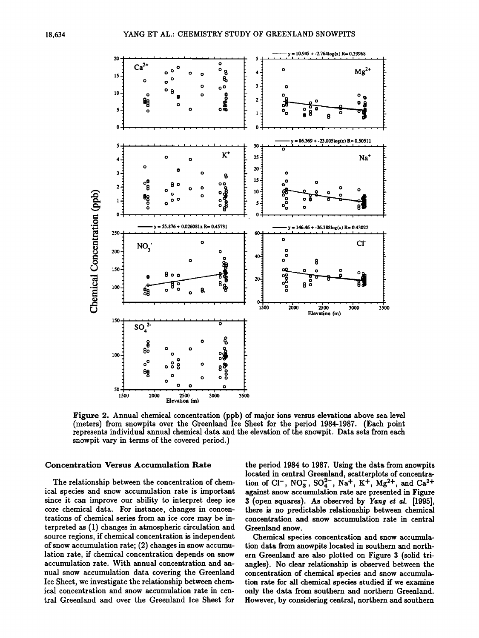

Figure 2. Annual chemical concentration (ppb) of major ions versus elevations above sea level (meters) from snowpits over the Greenland Ice Sheet for the period 1984-1987. (Each point represents individual annual chemical data and the elevation of the snowpit. Data sets from each snowpit vary in terms of the covered period.)

#### **Concentration Versus Accumulation Rate**

The relationship between the concentration of chemical species and snow accumulation rate is important since it can improve our ability to interpret deep ice core chemical data. For instance, changes in concentrations of chemical series from an ice core may be interpreted as (1) changes in atmospheric circulation and source regions, if chemical concentration is independent of snow accumulation rate; (2) changes in snow accumulation rate, if chemical concentration depends on snow accumulation rate. With annual concentration and annual snow accumulation data covering the Greenland Ice Sheet, we investigate the relationship between chemical concentration and snow accumulation rate in central Greenland and over the Greenland Ice Sheet for

the period 1984 to 1987. Using the data from snowpits located in central Greenland, scatterplots of concentration of Cl<sup>-</sup>, NO<sub>3</sub>, SO<sub>4</sub><sup>2</sup>-, Na<sup>+</sup>, K<sup>+</sup>, Mg<sup>2+</sup>, and Ca<sup>2+</sup> against snow accumulation rate are presented in Figure 3 (open squares). As observed by Yang et al. [1995], there is no predictable relationship between chemical concentration and snow accumulation rate in central Greenland snow.

Chemical species concentration and snow accumulation data from snowpits located in southern and northern Greenland are also plotted on Figure 3 (solid triangles). No clear relationship is observed between the concentration of chemical species and snow accumulation rate for all chemical species studied if we examine only the data from southern and northern Greenland. However, by considering central, northern and southern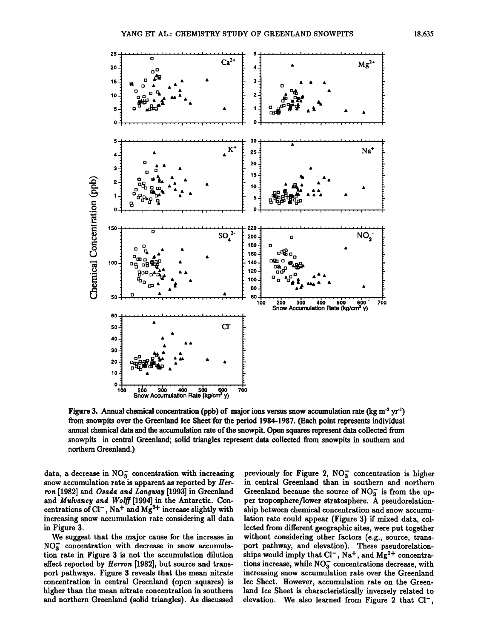

Figure 3. Annual chemical concentration (ppb) of major ions versus snow accumulation rate (kg m<sup>-2</sup> yr<sup>1</sup>) from snowpits over the Greenland Ice Sheet for the period 1984-1987. (Each point represents individual annual chemical data and the accumulation rate of the snowpit. Open squares represent data collected from snowpits in central Greenland; solid triangles represent data collected from snowpits in southern and northern Greenland.)

data, a decrease in  $NO<sub>3</sub><sup>-</sup>$  concentration with increasing snow accumulation rate is apparent as reported by Herron [1982] and Osada and Langway [1993] in Greenland and Mulvaney and Wolff [1994] in the Antarctic. Concentrations of  $Cl^-$ , Na<sup>+</sup> and Mg<sup>2+</sup> increase slightly with increasing snow accumulation rate considering all data in Figure 3.

We suggest that the major cause for the increase in  $NO<sub>3</sub>$  concentration with decrease in snow accumulation rate in Figure 3 is not the accumulation dilution effect reported by *Herron* [1982], but source and transport pathways. Figure 3 reveals that the mean nitrate concentration in central Greenland (open squares) is higher than the mean nitrate concentration in southern and northern Greenland (solid triangles). As discussed

previously for Figure 2,  $NO<sub>3</sub><sup>-</sup>$  concentration is higher in central Greenland than in southern and northern Greenland because the source of  $NO<sub>3</sub><sup>-</sup>$  is from the upper troposphere/lower stratosphere. A pseudorelationship between chemical concentration and snow accumulation rate could appear (Figure 3) if mixed data, collected from different geographic sites, were put together without considering other factors (e.g., source, transport pathway, and elevation). These pseudorelationships would imply that Cl<sup>-</sup>, Na<sup>+</sup>, and Mg<sup>2+</sup> concentrations increase, while  $NO<sub>3</sub><sup>-</sup>$  concentrations decrease, with increasing snow accumulation rate over the Greenland Ice Sheet. However, accumulation rate on the Greenland Ice Sheet is characteristically inversely related to elevation. We also learned from Figure 2 that  $Cl^-$ ,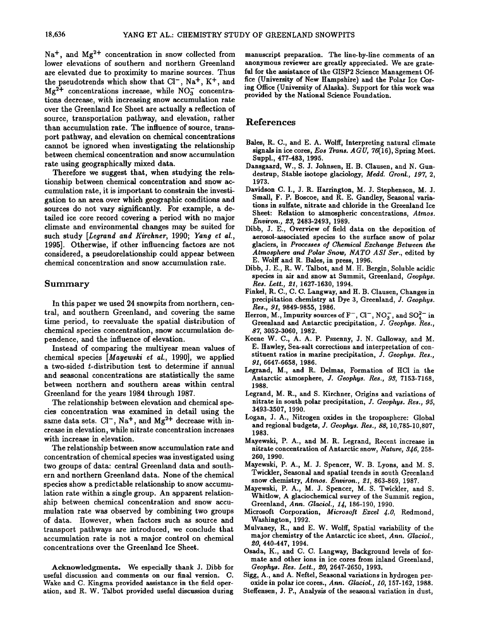Na<sup>+</sup>, and Mg<sup>2+</sup> concentration in snow collected from **lower elevations of southern and northern Greenland are elevated due to proximity to marine sources. Thus**  the pseudotrends which show that Cl<sup>-</sup>, Na<sup>+</sup>, K<sup>+</sup>, and Mg<sup>2+</sup> concentrations increase, while NO<sub>3</sub> concentra**tions decrease, with increasing snow accumulation rate over the Greenland Ice Sheet are actually a reflection of source, transportation pathway, and elevation, rather than accumulation rate. The influence of source, transport pathway, and elevation on chemical concentrations cannot be ignored when investigating the relationship between chemical concentration and snow accumulation rate using geographically mixed data.** 

**Therefore we suggest that, when studying the relationship between chemical concentration and snow accumulation rate, it is important to constrain the investigation to an area over which geographic conditions and sources do not vary significantly. For example, a detailed ice core record covering a period with no major climate and environmental changes may be suited for such study [Legrand and Kirchner, 1990; Yang et al., 1995]. Otherwise, if other influencing factors are not considered, a pseudorelationship could appear between chemical concentration and snow accumulation rate.** 

#### **Summary**

**In this paper we used 24 snowpits from northern, central, and southern Greenland, and covering the same time period, to reevaluate the spatial distribution of chemical species concentration, snow accumulation dependence, and the influence of elevation.** 

**Instead of comparing the multiyear mean values of chemical species [Mayewski et al., 1990], we applied a two-sided t-distribution test to determine if annual and seasonal concentrations are statistically the same between northern and southern areas within central Greenland for the years 1984 through 1987.** 

**The relationship between elevation and chemical species concentration was examined in detail using the**  same data sets. Cl<sup>-</sup>, Na<sup>+</sup>, and Mg<sup>2+</sup> decrease with in**crease in elevation, while nitrate concentration increases with increase in elevation.** 

**The relationship between snow accumulation rate and concentration of chemical species was investigated using two groups of data: central Greenland data and southern and northern Greenland data. None of the chemical species show a predictable relationship to snow accumulation rate within a single group. An apparent relationship between chemical concentration and snow accumulation rate was observed by combining two groups of data. However, when factors such as source and transport pathways are introduced, we conclude that accumulation rate is not a major control on chemical concentrations over the Greenland Ice Sheet.** 

**Acknowledgments. We especially thank J. Dibb for useful discussion and comments on our final version. C. Wake and C. Kingma provided assistance in the field operation, and R. W. Talbot provided useful discussion during** 

**manuscript preparation. The line-by-line comments of an anonymous reviewer are greatly appreciated. We are grateful for the assistance of the GISP2 Science Management Office (University of New Hampshire) and the Polar Ice Coring Office (University of Alaska). Support for this work was provided by the National Science Foundation.** 

### **References**

- **Bales, R. C., and E. A. Wolff, Interpreting natural climate signals in ice cores, Eos Trans. AGU, 76(16), Spring Meet. Suppl., 477-483, 1995.**
- **Dansgaard, W., S. J. Johnsen, H. B. Clausen, and N. Gundestrup, Stable isotope glaciology, Medd. Gronl., 197, 2, 1973.**
- **Davidson C. I., J. R. Harrington, M. J. Stephenson, M. J. Small, F. P. Boscoe, and R. E. Gandley, Seasonal variations in sulfate, nitrate and chloride in the Greenland Ice Sheet: Relation to atmospheric concentrations, Atmos. Environ., œ3, 2483-2493, 1989.**
- **Dibb, J. E., Overview of field data on the deposition of aerosol-associated species to the surface snow of polar**  glaciers, in Processes of Chemical Exchange Between the **Atmosphere and Polar Snow, NATO ASI Set., edited by E. Wolff and R. Bales, in press, 1996.**
- **Dibb, J. E., R. W. Talbot, and M. H. Bergin, Soluble acidic species in air and snow at Summit, Greenland, Geophys. Res. Lett., œ1, 1627-1630, 1994.**
- **Finkel, R. C., C. C. Langway, and H. B. Clausen, Changes in precipitation chemistry at Dye 3, Greenland, J. Geophys. Res., 91, 9849-9855, 1986.**
- Herron, M., Impurity sources of  $F^-$ ,  $Cl^-$ ,  $NO_3^-$ , and  $SO_4^{2-}$  in **Greenland and Antarctic precipitation, J. Geophys. Res., 87, 3052-3060, 1982.**
- **Keene W. C., A. A. P. Pszenny, J. N. Galloway, and M. E. Hawley, Sea-salt corrections and interpretation of constituent ratios in marine precipitation, J. Geophys. Res., 91, 6647-6658, 1986.**
- **Legrand, M., and R. Delmas, Formation of HC1 in the Antarctic atmosphere, J. Geophys. Res., 93, 7153-7168, 1988.**
- **Legrand, M. R., and S. Kirchner, Origins and variations of nitrate in south polar precipitation, J. Geophys. Res., 95, 3493-3507, 1990.**
- **Logan, J. A., Nitrogen oxides in the troposphere: Global and regional budgets, J. Geophys. Res., 88, 10,785-10,807, 1983.**
- **Mayewski, P. A., and M. R. Legrand, Recent increase in nitrate concentration of Antarctic snow, Nature, 3.•6, 258- 260, 1990.**
- **Mayewski, P. A., M. J. Spencer, W. B. Lyons, and M. S. Twickler, Seasonal and spatial trends in south Greenland snow chemistry, Atmos. Environ., œ1, 863-869, 1987.**
- **Mayewski, P. A., M. J. Spencer, M. S. Twickler, and S. Whitlow, A glaciochemical survey of the Summit region,**  Greenland, *Ann. Glaciol.*, 14, 186-190, 1990.
- **Microsoft Corporation, Microsoft Excel 4.0, Redmond, Washington, 1992.**
- **Mulvaney, R., and E. W. Wolff, Spatial variability of the major chemistry of the Antarctic ice sheet, Ann. Glaciol., œ0, 440-447, 1994.**
- **Osada, K., and C. C. Langway, Background levels of formate and other ions in ice cores from inland Greenland, Geophys. Res. Left., œ0, 2647-2650, 1993.**
- **Sigg, A., and A. Neffel, Seasonal variations in hydrogen peroxide in polar ice cores., Ann. Glaciol., 10, 157-162, 1988.**
- **Steffensen, J.P., Analysis of the seasonal variation in dust,**